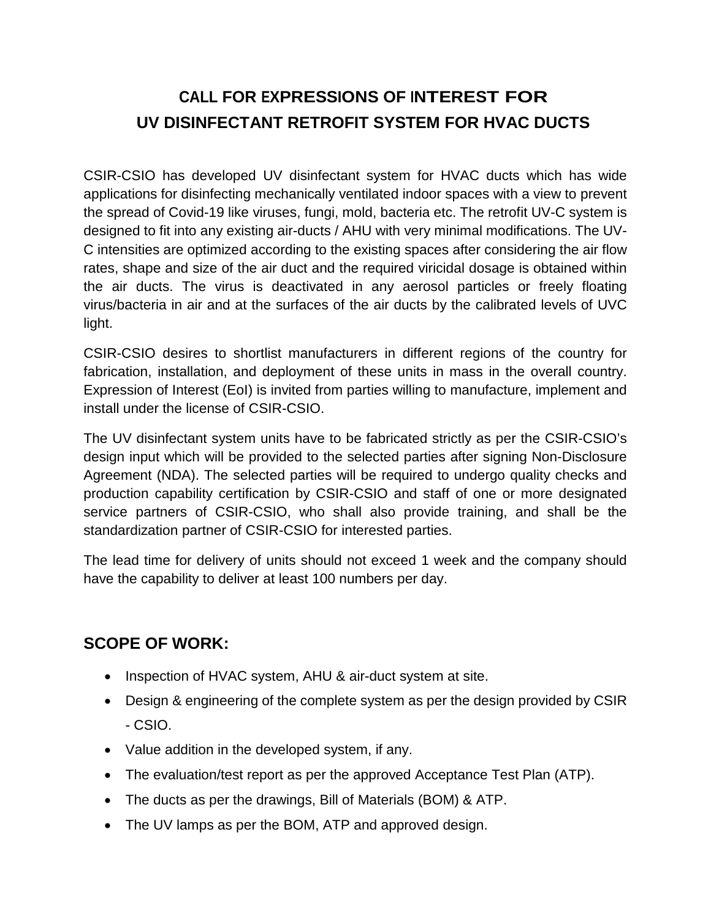## **CALL FOR EXPRESSIONS OF INTEREST FOR UV DISINFECTANT RETROFIT SYSTEM FOR HVAC DUCTS**

CSIR-CSIO has developed UV disinfectant system for HVAC ducts which has wide applications for disinfecting mechanically ventilated indoor spaces with a view to prevent the spread of Covid-19 like viruses, fungi, mold, bacteria etc. The retrofit UV-C system is designed to fit into any existing air-ducts / AHU with very minimal modifications. The UV-C intensities are optimized according to the existing spaces after considering the air flow rates, shape and size of the air duct and the required viricidal dosage is obtained within the air ducts. The virus is deactivated in any aerosol particles or freely floating virus/bacteria in air and at the surfaces of the air ducts by the calibrated levels of UVC light.

CSIR-CSIO desires to shortlist manufacturers in different regions of the country for fabrication, installation, and deployment of these units in mass in the overall country. Expression of Interest (EoI) is invited from parties willing to manufacture, implement and install under the license of CSIR-CSIO.

The UV disinfectant system units have to be fabricated strictly as per the CSIR-CSIO's design input which will be provided to the selected parties after signing Non-Disclosure Agreement (NDA). The selected parties will be required to undergo quality checks and production capability certification by CSIR-CSIO and staff of one or more designated service partners of CSIR-CSIO, who shall also provide training, and shall be the standardization partner of CSIR-CSIO for interested parties.

The lead time for delivery of units should not exceed 1 week and the company should have the capability to deliver at least 100 numbers per day.

## **SCOPE OF WORK:**

- Inspection of HVAC system, AHU & air-duct system at site.
- Design & engineering of the complete system as per the design provided by CSIR - CSIO.
- Value addition in the developed system, if any.
- The evaluation/test report as per the approved Acceptance Test Plan (ATP).
- The ducts as per the drawings, Bill of Materials (BOM) & ATP.
- The UV lamps as per the BOM, ATP and approved design.